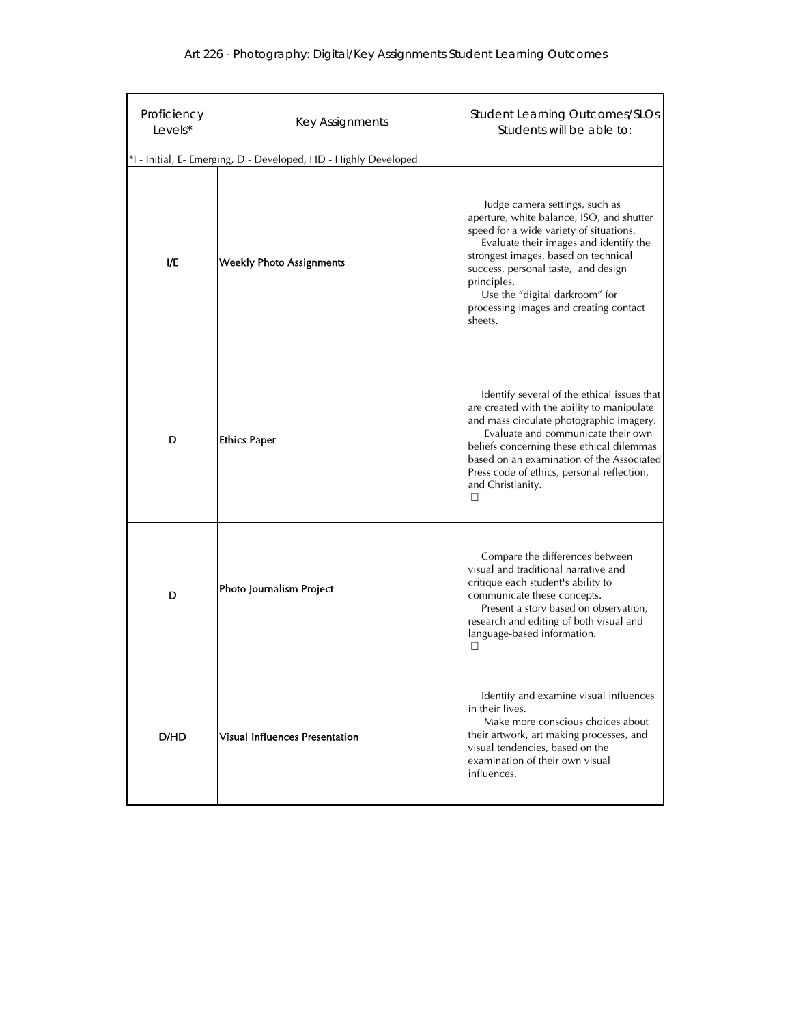|  |  |  | Art 226 - Photography: Digital/Key Assignments Student Learning Outcomes |
|--|--|--|--------------------------------------------------------------------------|
|--|--|--|--------------------------------------------------------------------------|

| Proficiency<br>Levels* | Key Assignments                                                 | <b>Student Learning Outcomes/SLOs</b><br>Students will be able to:                                                                                                                                                                                                                                                                                    |
|------------------------|-----------------------------------------------------------------|-------------------------------------------------------------------------------------------------------------------------------------------------------------------------------------------------------------------------------------------------------------------------------------------------------------------------------------------------------|
|                        | *I - Initial, E- Emerging, D - Developed, HD - Highly Developed |                                                                                                                                                                                                                                                                                                                                                       |
| I/E                    | <b>Weekly Photo Assignments</b>                                 | Judge camera settings, such as<br>aperture, white balance, ISO, and shutter<br>speed for a wide variety of situations.<br>Evaluate their images and identify the<br>strongest images, based on technical<br>success, personal taste, and design<br>principles.<br>Use the "digital darkroom" for<br>processing images and creating contact<br>sheets. |
| D                      | <b>Ethics Paper</b>                                             | Identify several of the ethical issues that<br>are created with the ability to manipulate<br>and mass circulate photographic imagery.<br>Evaluate and communicate their own<br>beliefs concerning these ethical dilemmas<br>based on an examination of the Associated<br>Press code of ethics, personal reflection,<br>and Christianity.<br>⊔         |
| D                      | Photo Journalism Project                                        | Compare the differences between<br>visual and traditional narrative and<br>critique each student's ability to<br>communicate these concepts.<br>Present a story based on observation,<br>research and editing of both visual and<br>language-based information.<br>$\Box$                                                                             |
| D/HD                   | <b>Visual Influences Presentation</b>                           | Identify and examine visual influences<br>in their lives.<br>Make more conscious choices about<br>their artwork, art making processes, and<br>visual tendencies, based on the<br>examination of their own visual<br>influences.                                                                                                                       |